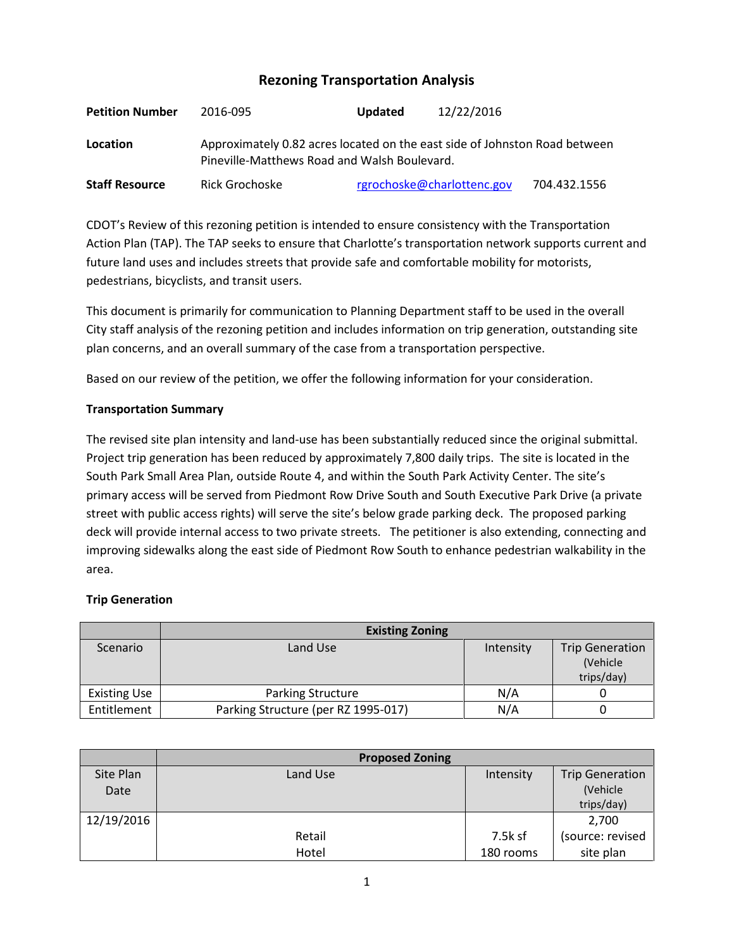# **Rezoning Transportation Analysis**

| <b>Petition Number</b> | 2016-095                                                                                                                   | <b>Updated</b> | 12/22/2016                 |              |
|------------------------|----------------------------------------------------------------------------------------------------------------------------|----------------|----------------------------|--------------|
| Location               | Approximately 0.82 acres located on the east side of Johnston Road between<br>Pineville-Matthews Road and Walsh Boulevard. |                |                            |              |
| <b>Staff Resource</b>  | Rick Grochoske                                                                                                             |                | rgrochoske@charlottenc.gov | 704.432.1556 |

CDOT's Review of this rezoning petition is intended to ensure consistency with the Transportation Action Plan (TAP). The TAP seeks to ensure that Charlotte's transportation network supports current and future land uses and includes streets that provide safe and comfortable mobility for motorists, pedestrians, bicyclists, and transit users.

This document is primarily for communication to Planning Department staff to be used in the overall City staff analysis of the rezoning petition and includes information on trip generation, outstanding site plan concerns, and an overall summary of the case from a transportation perspective.

Based on our review of the petition, we offer the following information for your consideration.

### **Transportation Summary**

The revised site plan intensity and land-use has been substantially reduced since the original submittal. Project trip generation has been reduced by approximately 7,800 daily trips. The site is located in the South Park Small Area Plan, outside Route 4, and within the South Park Activity Center. The site's primary access will be served from Piedmont Row Drive South and South Executive Park Drive (a private street with public access rights) will serve the site's below grade parking deck. The proposed parking deck will provide internal access to two private streets. The petitioner is also extending, connecting and improving sidewalks along the east side of Piedmont Row South to enhance pedestrian walkability in the area.

## **Trip Generation**

|                     | <b>Existing Zoning</b>              |           |                        |
|---------------------|-------------------------------------|-----------|------------------------|
| Scenario            | Land Use                            | Intensity | <b>Trip Generation</b> |
|                     |                                     |           | (Vehicle               |
|                     |                                     |           | trips/day)             |
| <b>Existing Use</b> | Parking Structure                   | N/A       |                        |
| Entitlement         | Parking Structure (per RZ 1995-017) | N/A       |                        |

|            | <b>Proposed Zoning</b> |           |                        |
|------------|------------------------|-----------|------------------------|
| Site Plan  | Land Use               | Intensity | <b>Trip Generation</b> |
| Date       |                        |           | (Vehicle               |
|            |                        |           | trips/day)             |
| 12/19/2016 |                        |           | 2,700                  |
|            | Retail                 | 7.5k sf   | (source: revised       |
|            | Hotel                  | 180 rooms | site plan              |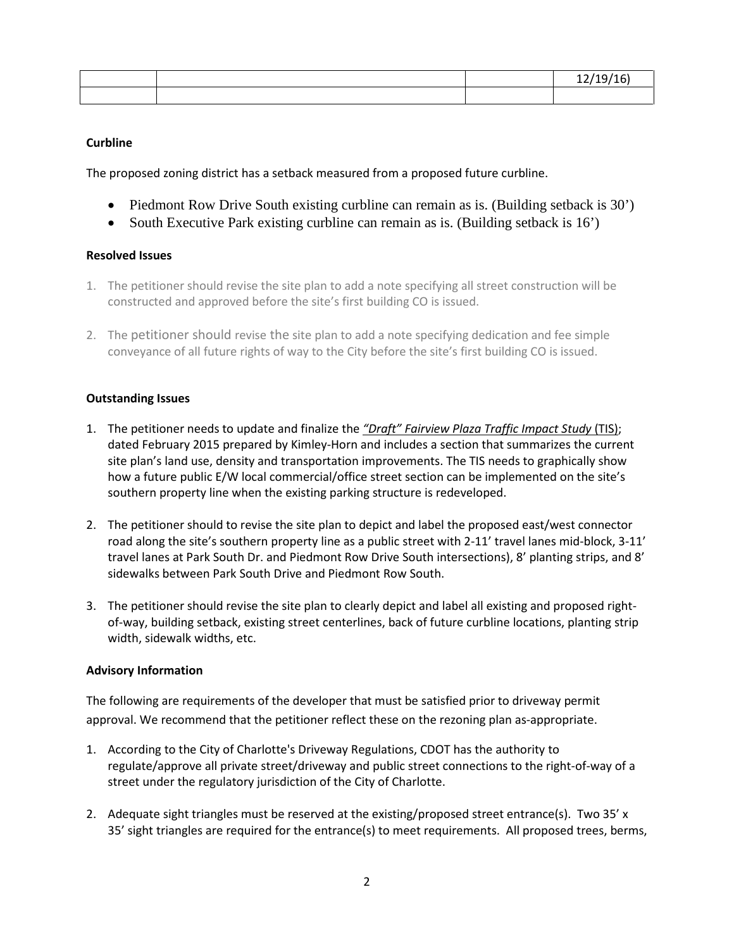|  | . |
|--|---|
|  |   |

### **Curbline**

The proposed zoning district has a setback measured from a proposed future curbline.

- Piedmont Row Drive South existing curbline can remain as is. (Building setback is 30')
- South Executive Park existing curbline can remain as is. (Building setback is 16')

#### **Resolved Issues**

- 1. The petitioner should revise the site plan to add a note specifying all street construction will be constructed and approved before the site's first building CO is issued.
- 2. The petitioner should revise the site plan to add a note specifying dedication and fee simple conveyance of all future rights of way to the City before the site's first building CO is issued.

#### **Outstanding Issues**

- 1. The petitioner needs to update and finalize the *"Draft" Fairview Plaza Traffic Impact Study* (TIS); dated February 2015 prepared by Kimley-Horn and includes a section that summarizes the current site plan's land use, density and transportation improvements. The TIS needs to graphically show how a future public E/W local commercial/office street section can be implemented on the site's southern property line when the existing parking structure is redeveloped.
- 2. The petitioner should to revise the site plan to depict and label the proposed east/west connector road along the site's southern property line as a public street with 2-11' travel lanes mid-block, 3-11' travel lanes at Park South Dr. and Piedmont Row Drive South intersections), 8' planting strips, and 8' sidewalks between Park South Drive and Piedmont Row South.
- 3. The petitioner should revise the site plan to clearly depict and label all existing and proposed rightof-way, building setback, existing street centerlines, back of future curbline locations, planting strip width, sidewalk widths, etc.

#### **Advisory Information**

The following are requirements of the developer that must be satisfied prior to driveway permit approval. We recommend that the petitioner reflect these on the rezoning plan as-appropriate.

- 1. According to the City of Charlotte's Driveway Regulations, CDOT has the authority to regulate/approve all private street/driveway and public street connections to the right-of-way of a street under the regulatory jurisdiction of the City of Charlotte.
- 2. Adequate sight triangles must be reserved at the existing/proposed street entrance(s). Two 35' x 35' sight triangles are required for the entrance(s) to meet requirements. All proposed trees, berms,